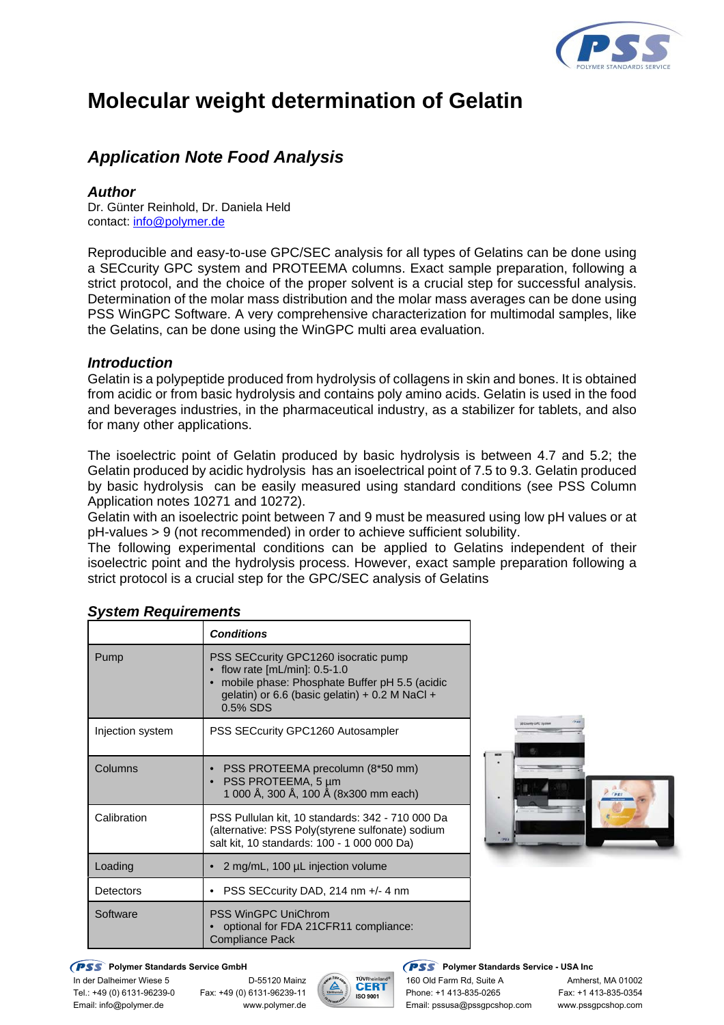

# **Molecular weight determination of Gelatin**

## *Application Note Food Analysis*

#### *Author*

Dr. Günter Reinhold, Dr. Daniela Held contact: info@polymer.de

Reproducible and easy-to-use GPC/SEC analysis for all types of Gelatins can be done using a SECcurity GPC system and PROTEEMA columns. Exact sample preparation, following a strict protocol, and the choice of the proper solvent is a crucial step for successful analysis. Determination of the molar mass distribution and the molar mass averages can be done using PSS WinGPC Software. A very comprehensive characterization for multimodal samples, like the Gelatins, can be done using the WinGPC multi area evaluation.

#### *Introduction*

Gelatin is a polypeptide produced from hydrolysis of collagens in skin and bones. It is obtained from acidic or from basic hydrolysis and contains poly amino acids. Gelatin is used in the food and beverages industries, in the pharmaceutical industry, as a stabilizer for tablets, and also for many other applications.

The isoelectric point of Gelatin produced by basic hydrolysis is between 4.7 and 5.2; the Gelatin produced by acidic hydrolysis has an isoelectrical point of 7.5 to 9.3. Gelatin produced by basic hydrolysis can be easily measured using standard conditions (see PSS Column Application notes 10271 and 10272).

Gelatin with an isoelectric point between 7 and 9 must be measured using low pH values or at pH-values > 9 (not recommended) in order to achieve sufficient solubility.

The following experimental conditions can be applied to Gelatins independent of their isoelectric point and the hydrolysis process. However, exact sample preparation following a strict protocol is a crucial step for the GPC/SEC analysis of Gelatins

|                  | <b>Conditions</b>                                                                                                                                                                         |  |  |  |  |
|------------------|-------------------------------------------------------------------------------------------------------------------------------------------------------------------------------------------|--|--|--|--|
| Pump             | PSS SECcurity GPC1260 isocratic pump<br>flow rate [mL/min]: 0.5-1.0<br>mobile phase: Phosphate Buffer pH 5.5 (acidic<br>gelatin) or 6.6 (basic gelatin) $+$ 0.2 M NaCl $+$<br>$0.5\%$ SDS |  |  |  |  |
| Injection system | PSS SECcurity GPC1260 Autosampler                                                                                                                                                         |  |  |  |  |
| Columns          | PSS PROTEEMA precolumn (8*50 mm)<br>PSS PROTEEMA, 5 µm<br>1 000 Å, 300 Å, 100 Å (8x300 mm each)                                                                                           |  |  |  |  |
| Calibration      | PSS Pullulan kit, 10 standards: 342 - 710 000 Da<br>(alternative: PSS Poly(styrene sulfonate) sodium<br>salt kit, 10 standards: 100 - 1 000 000 Da)                                       |  |  |  |  |
| Loading          | 2 mg/mL, 100 µL injection volume                                                                                                                                                          |  |  |  |  |
| Detectors        | PSS SECcurity DAD, 214 nm +/- 4 nm                                                                                                                                                        |  |  |  |  |
| Software         | <b>PSS WinGPC UniChrom</b><br>optional for FDA 21CFR11 compliance:<br><b>Compliance Pack</b>                                                                                              |  |  |  |  |

### *System Requirements*



#### **PSS** Polymer Standards Service GmbH **PSS** Polymer Standards Service - USA Inc



In der Dalheimer Wiese 5 D-55120 Mainz  $\sqrt{\overbrace{ }^{*}}$  T<sup>üykheinland</sub>, 160 Old Farm Rd, Suite A Amherst, MA 01002</sup> Tel.: +49 (0) 6131-96239-0 Fax: +49 (0) 6131-96239-11 Phone: +1 413-835-0265 Fax: +1 413-835-0354 Email: info@polymer.de www.polymer.de Email: pssusa@pssgpcshop.com www.pssgpcshop.com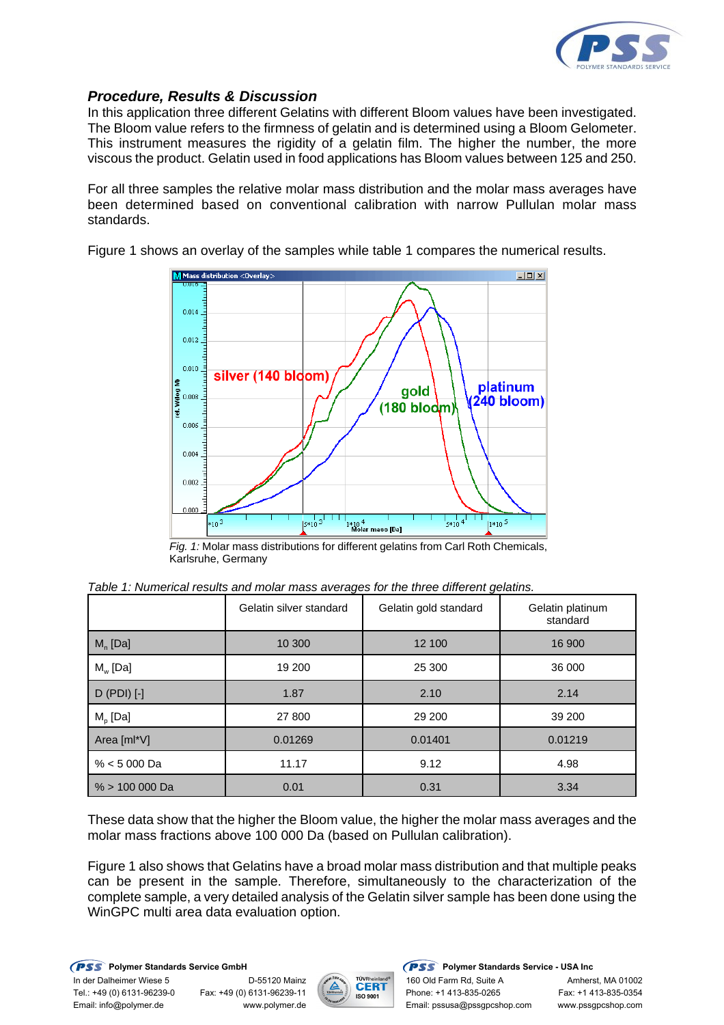

### *Procedure, Results & Discussion*

In this application three different Gelatins with different Bloom values have been investigated. The Bloom value refers to the firmness of gelatin and is determined using a Bloom Gelometer. This instrument measures the rigidity of a gelatin film. The higher the number, the more viscous the product. Gelatin used in food applications has Bloom values between 125 and 250.

For all three samples the relative molar mass distribution and the molar mass averages have been determined based on conventional calibration with narrow Pullulan molar mass standards.

Figure 1 shows an overlay of the samples while table 1 compares the numerical results.



*Fig. 1:* Molar mass distributions for different gelatins from Carl Roth Chemicals, Karlsruhe, Germany

|                  | Gelatin silver standard | Gelatin gold standard | Gelatin platinum<br>standard |
|------------------|-------------------------|-----------------------|------------------------------|
| $M_n$ [Da]       | 10 300                  | 12 100                | 16 900                       |
| $M_{w}$ [Da]     | 19 200                  | 25 300                | 36 000                       |
| $D$ (PDI) $[-]$  | 1.87                    | 2.10                  | 2.14                         |
| $M_{p}$ [Da]     | 27 800                  | 29 200                | 39 200                       |
| Area [ml*V]      | 0.01269                 | 0.01401               | 0.01219                      |
| $% < 5000$ Da    | 11.17                   | 9.12                  | 4.98                         |
| $% > 100,000$ Da | 0.01                    | 0.31                  | 3.34                         |

*Table 1: Numerical results and molar mass averages for the three different gelatins.*

These data show that the higher the Bloom value, the higher the molar mass averages and the molar mass fractions above 100 000 Da (based on Pullulan calibration).

Figure 1 also shows that Gelatins have a broad molar mass distribution and that multiple peaks can be present in the sample. Therefore, simultaneously to the characterization of the complete sample, a very detailed analysis of the Gelatin silver sample has been done using the WinGPC multi area data evaluation option.

**PSS** Polymer Standards Service GmbH **PSS** Polymer Standards Service - USA Inc In der Dalheimer Wiese 5 D-55120 Mainz 160 Old Farm Rd, Suite A Amherst, MA 01002<br>Tel.: +49 (0) 6131-96239-11 Phone: +1 413-835-0265 Fax: +1 413-835-0354 Email: info@polymer.de www.polymer.de Email: pssusa@pssgpcshop.com www.pssgpcshop.com



Fax: +49 (0) 6131-96239-11 **Fax: +1** Hone: +1 413-835-0265 Fax: +1 413-835-0354